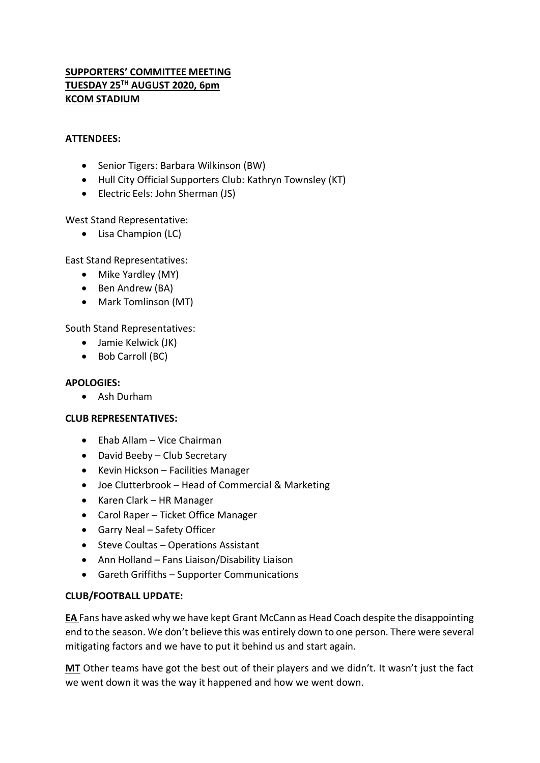## **SUPPORTERS' COMMITTEE MEETING TUESDAY 25TH AUGUST 2020, 6pm KCOM STADIUM**

#### **ATTENDEES:**

- Senior Tigers: Barbara Wilkinson (BW)
- Hull City Official Supporters Club: Kathryn Townsley (KT)
- Electric Eels: John Sherman (JS)

West Stand Representative:

• Lisa Champion (LC)

East Stand Representatives:

- Mike Yardley (MY)
- Ben Andrew (BA)
- Mark Tomlinson (MT)

South Stand Representatives:

- Jamie Kelwick (JK)
- Bob Carroll (BC)

#### **APOLOGIES:**

Ash Durham

## **CLUB REPRESENTATIVES:**

- Ehab Allam Vice Chairman
- David Beeby Club Secretary
- Kevin Hickson Facilities Manager
- Joe Clutterbrook Head of Commercial & Marketing
- Karen Clark HR Manager
- Carol Raper Ticket Office Manager
- Garry Neal Safety Officer
- Steve Coultas Operations Assistant
- Ann Holland Fans Liaison/Disability Liaison
- Gareth Griffiths Supporter Communications

#### **CLUB/FOOTBALL UPDATE:**

**EA** Fans have asked why we have kept Grant McCann as Head Coach despite the disappointing end to the season. We don't believe this was entirely down to one person. There were several mitigating factors and we have to put it behind us and start again.

**MT** Other teams have got the best out of their players and we didn't. It wasn't just the fact we went down it was the way it happened and how we went down.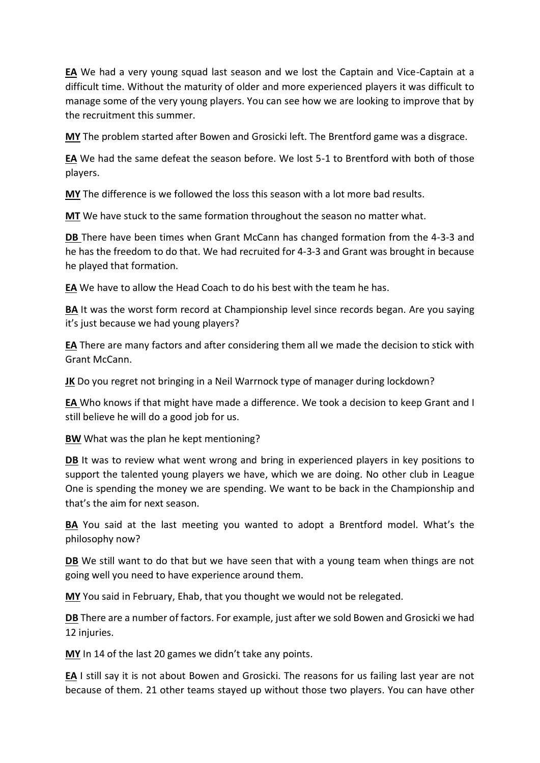**EA** We had a very young squad last season and we lost the Captain and Vice-Captain at a difficult time. Without the maturity of older and more experienced players it was difficult to manage some of the very young players. You can see how we are looking to improve that by the recruitment this summer.

**MY** The problem started after Bowen and Grosicki left. The Brentford game was a disgrace.

**EA** We had the same defeat the season before. We lost 5-1 to Brentford with both of those players.

**MY** The difference is we followed the loss this season with a lot more bad results.

**MT** We have stuck to the same formation throughout the season no matter what.

**DB** There have been times when Grant McCann has changed formation from the 4-3-3 and he has the freedom to do that. We had recruited for 4-3-3 and Grant was brought in because he played that formation.

**EA** We have to allow the Head Coach to do his best with the team he has.

**BA** It was the worst form record at Championship level since records began. Are you saying it's just because we had young players?

**EA** There are many factors and after considering them all we made the decision to stick with Grant McCann.

**JK** Do you regret not bringing in a Neil Warrnock type of manager during lockdown?

**EA** Who knows if that might have made a difference. We took a decision to keep Grant and I still believe he will do a good job for us.

**BW** What was the plan he kept mentioning?

**DB** It was to review what went wrong and bring in experienced players in key positions to support the talented young players we have, which we are doing. No other club in League One is spending the money we are spending. We want to be back in the Championship and that's the aim for next season.

**BA** You said at the last meeting you wanted to adopt a Brentford model. What's the philosophy now?

**DB** We still want to do that but we have seen that with a young team when things are not going well you need to have experience around them.

**MY** You said in February, Ehab, that you thought we would not be relegated.

**DB** There are a number of factors. For example, just after we sold Bowen and Grosicki we had 12 injuries.

**MY** In 14 of the last 20 games we didn't take any points.

**EA** I still say it is not about Bowen and Grosicki. The reasons for us failing last year are not because of them. 21 other teams stayed up without those two players. You can have other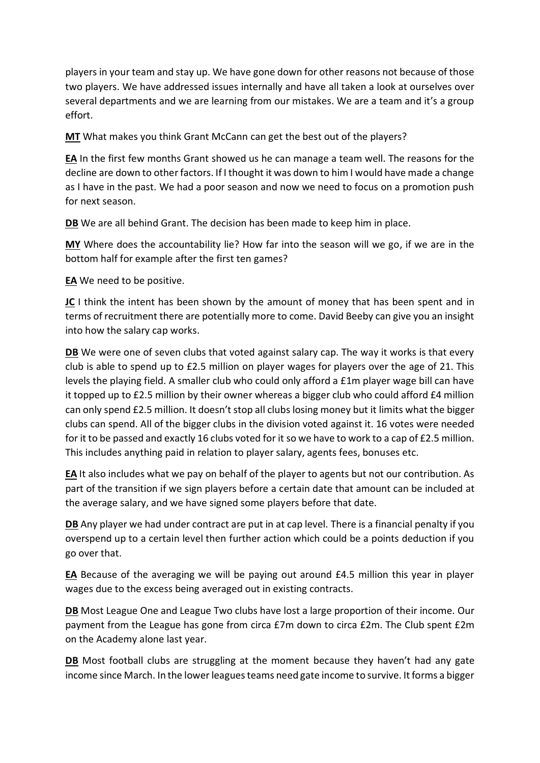players in your team and stay up. We have gone down for other reasons not because of those two players. We have addressed issues internally and have all taken a look at ourselves over several departments and we are learning from our mistakes. We are a team and it's a group effort.

**MT** What makes you think Grant McCann can get the best out of the players?

**EA** In the first few months Grant showed us he can manage a team well. The reasons for the decline are down to other factors. If I thought it was down to him I would have made a change as I have in the past. We had a poor season and now we need to focus on a promotion push for next season.

**DB** We are all behind Grant. The decision has been made to keep him in place.

**MY** Where does the accountability lie? How far into the season will we go, if we are in the bottom half for example after the first ten games?

**EA** We need to be positive.

**JC** I think the intent has been shown by the amount of money that has been spent and in terms of recruitment there are potentially more to come. David Beeby can give you an insight into how the salary cap works.

**DB** We were one of seven clubs that voted against salary cap. The way it works is that every club is able to spend up to £2.5 million on player wages for players over the age of 21. This levels the playing field. A smaller club who could only afford a £1m player wage bill can have it topped up to £2.5 million by their owner whereas a bigger club who could afford £4 million can only spend £2.5 million. It doesn't stop all clubs losing money but it limits what the bigger clubs can spend. All of the bigger clubs in the division voted against it. 16 votes were needed for it to be passed and exactly 16 clubs voted for it so we have to work to a cap of £2.5 million. This includes anything paid in relation to player salary, agents fees, bonuses etc.

**EA** It also includes what we pay on behalf of the player to agents but not our contribution. As part of the transition if we sign players before a certain date that amount can be included at the average salary, and we have signed some players before that date.

**DB** Any player we had under contract are put in at cap level. There is a financial penalty if you overspend up to a certain level then further action which could be a points deduction if you go over that.

**EA** Because of the averaging we will be paying out around £4.5 million this year in player wages due to the excess being averaged out in existing contracts.

**DB** Most League One and League Two clubs have lost a large proportion of their income. Our payment from the League has gone from circa £7m down to circa £2m. The Club spent £2m on the Academy alone last year.

**DB** Most football clubs are struggling at the moment because they haven't had any gate income since March. In the lower leagues teams need gate income to survive. It forms a bigger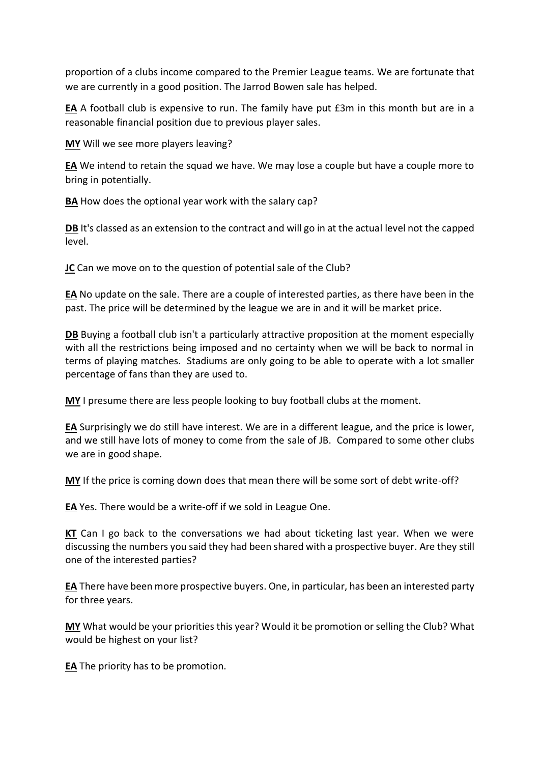proportion of a clubs income compared to the Premier League teams. We are fortunate that we are currently in a good position. The Jarrod Bowen sale has helped.

**EA** A football club is expensive to run. The family have put £3m in this month but are in a reasonable financial position due to previous player sales.

**MY** Will we see more players leaving?

**EA** We intend to retain the squad we have. We may lose a couple but have a couple more to bring in potentially.

**BA** How does the optional year work with the salary cap?

**DB** It's classed as an extension to the contract and will go in at the actual level not the capped level.

**JC** Can we move on to the question of potential sale of the Club?

**EA** No update on the sale. There are a couple of interested parties, as there have been in the past. The price will be determined by the league we are in and it will be market price.

**DB** Buying a football club isn't a particularly attractive proposition at the moment especially with all the restrictions being imposed and no certainty when we will be back to normal in terms of playing matches. Stadiums are only going to be able to operate with a lot smaller percentage of fans than they are used to.

**MY** I presume there are less people looking to buy football clubs at the moment.

**EA** Surprisingly we do still have interest. We are in a different league, and the price is lower, and we still have lots of money to come from the sale of JB. Compared to some other clubs we are in good shape.

**MY** If the price is coming down does that mean there will be some sort of debt write-off?

**EA** Yes. There would be a write-off if we sold in League One.

**KT** Can I go back to the conversations we had about ticketing last year. When we were discussing the numbers you said they had been shared with a prospective buyer. Are they still one of the interested parties?

**EA** There have been more prospective buyers. One, in particular, has been an interested party for three years.

**MY** What would be your priorities this year? Would it be promotion or selling the Club? What would be highest on your list?

**EA** The priority has to be promotion.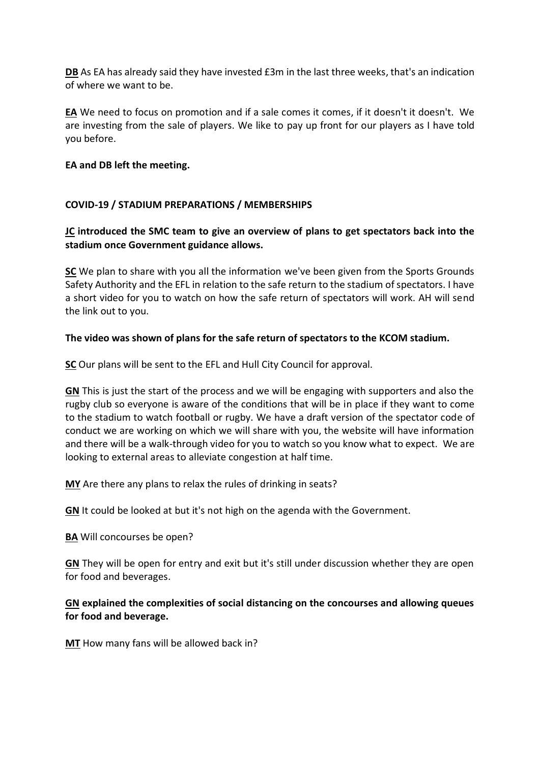**DB** As EA has already said they have invested £3m in the last three weeks, that's an indication of where we want to be.

**EA** We need to focus on promotion and if a sale comes it comes, if it doesn't it doesn't. We are investing from the sale of players. We like to pay up front for our players as I have told you before.

#### **EA and DB left the meeting.**

## **COVID-19 / STADIUM PREPARATIONS / MEMBERSHIPS**

## **JC introduced the SMC team to give an overview of plans to get spectators back into the stadium once Government guidance allows.**

**SC** We plan to share with you all the information we've been given from the Sports Grounds Safety Authority and the EFL in relation to the safe return to the stadium of spectators. I have a short video for you to watch on how the safe return of spectators will work. AH will send the link out to you.

#### **The video was shown of plans for the safe return of spectators to the KCOM stadium.**

**SC** Our plans will be sent to the EFL and Hull City Council for approval.

**GN** This is just the start of the process and we will be engaging with supporters and also the rugby club so everyone is aware of the conditions that will be in place if they want to come to the stadium to watch football or rugby. We have a draft version of the spectator code of conduct we are working on which we will share with you, the website will have information and there will be a walk-through video for you to watch so you know what to expect. We are looking to external areas to alleviate congestion at half time.

**MY** Are there any plans to relax the rules of drinking in seats?

**GN** It could be looked at but it's not high on the agenda with the Government.

**BA** Will concourses be open?

**GN** They will be open for entry and exit but it's still under discussion whether they are open for food and beverages.

## **GN explained the complexities of social distancing on the concourses and allowing queues for food and beverage.**

**MT** How many fans will be allowed back in?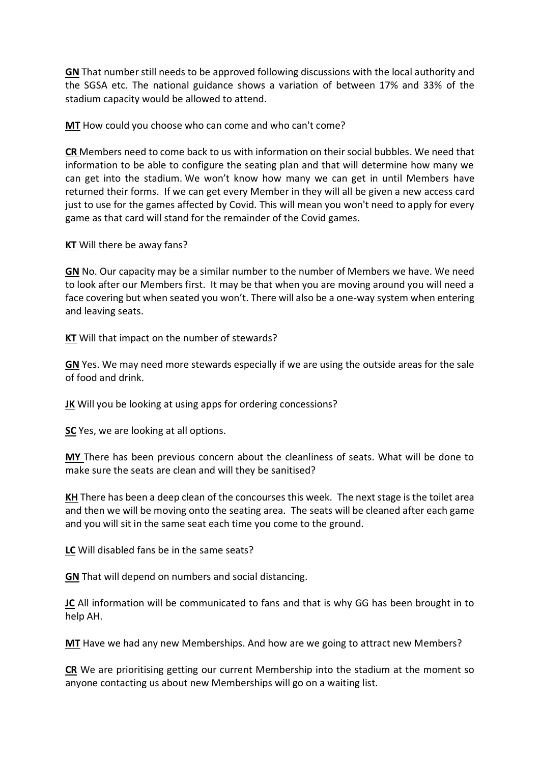**GN** That number still needs to be approved following discussions with the local authority and the SGSA etc. The national guidance shows a variation of between 17% and 33% of the stadium capacity would be allowed to attend.

**MT** How could you choose who can come and who can't come?

**CR** Members need to come back to us with information on their social bubbles. We need that information to be able to configure the seating plan and that will determine how many we can get into the stadium. We won't know how many we can get in until Members have returned their forms. If we can get every Member in they will all be given a new access card just to use for the games affected by Covid. This will mean you won't need to apply for every game as that card will stand for the remainder of the Covid games.

**KT** Will there be away fans?

**GN** No. Our capacity may be a similar number to the number of Members we have. We need to look after our Members first. It may be that when you are moving around you will need a face covering but when seated you won't. There will also be a one-way system when entering and leaving seats.

**KT** Will that impact on the number of stewards?

**GN** Yes. We may need more stewards especially if we are using the outside areas for the sale of food and drink.

**JK** Will you be looking at using apps for ordering concessions?

**SC** Yes, we are looking at all options.

**MY** There has been previous concern about the cleanliness of seats. What will be done to make sure the seats are clean and will they be sanitised?

**KH** There has been a deep clean of the concourses this week. The next stage is the toilet area and then we will be moving onto the seating area. The seats will be cleaned after each game and you will sit in the same seat each time you come to the ground.

**LC** Will disabled fans be in the same seats?

**GN** That will depend on numbers and social distancing.

**JC** All information will be communicated to fans and that is why GG has been brought in to help AH.

**MT** Have we had any new Memberships. And how are we going to attract new Members?

**CR** We are prioritising getting our current Membership into the stadium at the moment so anyone contacting us about new Memberships will go on a waiting list.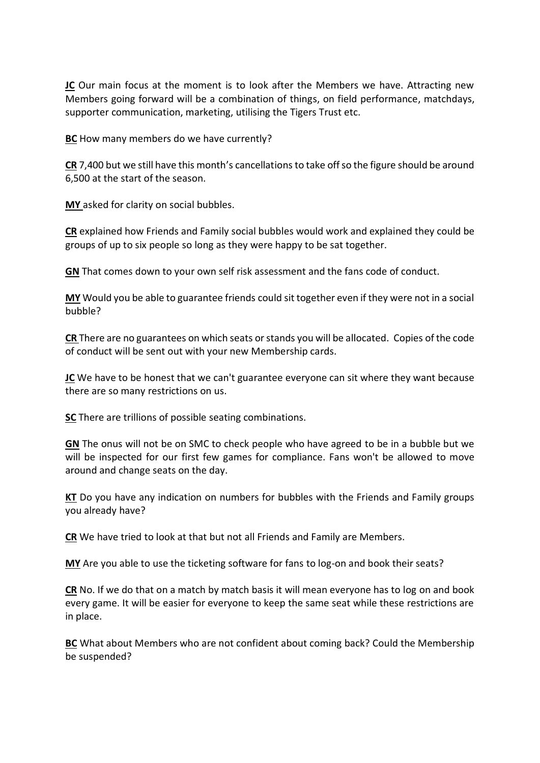**JC** Our main focus at the moment is to look after the Members we have. Attracting new Members going forward will be a combination of things, on field performance, matchdays, supporter communication, marketing, utilising the Tigers Trust etc.

**BC** How many members do we have currently?

**CR** 7,400 but we still have this month's cancellationsto take off so the figure should be around 6,500 at the start of the season.

**MY** asked for clarity on social bubbles.

**CR** explained how Friends and Family social bubbles would work and explained they could be groups of up to six people so long as they were happy to be sat together.

**GN** That comes down to your own self risk assessment and the fans code of conduct.

**MY** Would you be able to guarantee friends could sit together even if they were not in a social bubble?

**CR** There are no guarantees on which seats orstands you will be allocated. Copies of the code of conduct will be sent out with your new Membership cards.

**JC** We have to be honest that we can't guarantee everyone can sit where they want because there are so many restrictions on us.

**SC** There are trillions of possible seating combinations.

**GN** The onus will not be on SMC to check people who have agreed to be in a bubble but we will be inspected for our first few games for compliance. Fans won't be allowed to move around and change seats on the day.

**KT** Do you have any indication on numbers for bubbles with the Friends and Family groups you already have?

**CR** We have tried to look at that but not all Friends and Family are Members.

**MY** Are you able to use the ticketing software for fans to log-on and book their seats?

**CR** No. If we do that on a match by match basis it will mean everyone has to log on and book every game. It will be easier for everyone to keep the same seat while these restrictions are in place.

**BC** What about Members who are not confident about coming back? Could the Membership be suspended?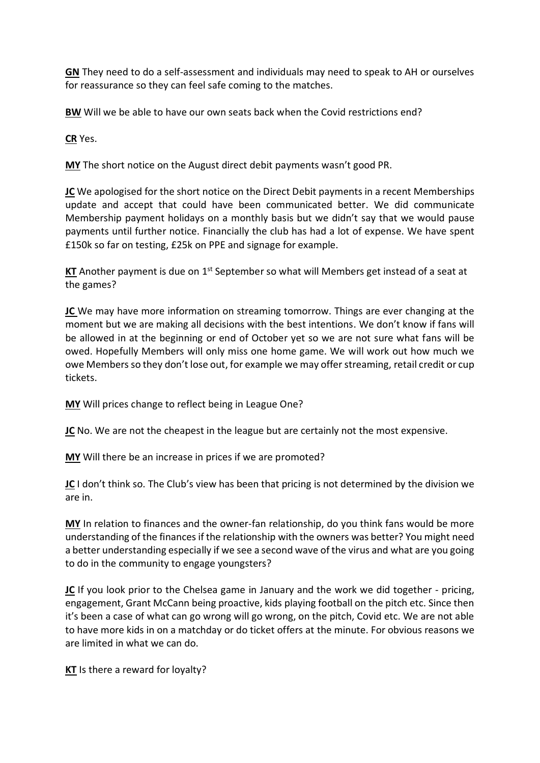**GN** They need to do a self-assessment and individuals may need to speak to AH or ourselves for reassurance so they can feel safe coming to the matches.

**BW** Will we be able to have our own seats back when the Covid restrictions end?

**CR** Yes.

**MY** The short notice on the August direct debit payments wasn't good PR.

**JC** We apologised for the short notice on the Direct Debit payments in a recent Memberships update and accept that could have been communicated better. We did communicate Membership payment holidays on a monthly basis but we didn't say that we would pause payments until further notice. Financially the club has had a lot of expense. We have spent £150k so far on testing, £25k on PPE and signage for example.

**KT** Another payment is due on 1<sup>st</sup> September so what will Members get instead of a seat at the games?

**JC** We may have more information on streaming tomorrow. Things are ever changing at the moment but we are making all decisions with the best intentions. We don't know if fans will be allowed in at the beginning or end of October yet so we are not sure what fans will be owed. Hopefully Members will only miss one home game. We will work out how much we owe Members so they don't lose out, for example we may offer streaming, retail credit or cup tickets.

**MY** Will prices change to reflect being in League One?

**JC** No. We are not the cheapest in the league but are certainly not the most expensive.

**MY** Will there be an increase in prices if we are promoted?

**JC** I don't think so. The Club's view has been that pricing is not determined by the division we are in.

**MY** In relation to finances and the owner-fan relationship, do you think fans would be more understanding of the finances if the relationship with the owners was better? You might need a better understanding especially if we see a second wave of the virus and what are you going to do in the community to engage youngsters?

**JC** If you look prior to the Chelsea game in January and the work we did together - pricing, engagement, Grant McCann being proactive, kids playing football on the pitch etc. Since then it's been a case of what can go wrong will go wrong, on the pitch, Covid etc. We are not able to have more kids in on a matchday or do ticket offers at the minute. For obvious reasons we are limited in what we can do.

**KT** Is there a reward for loyalty?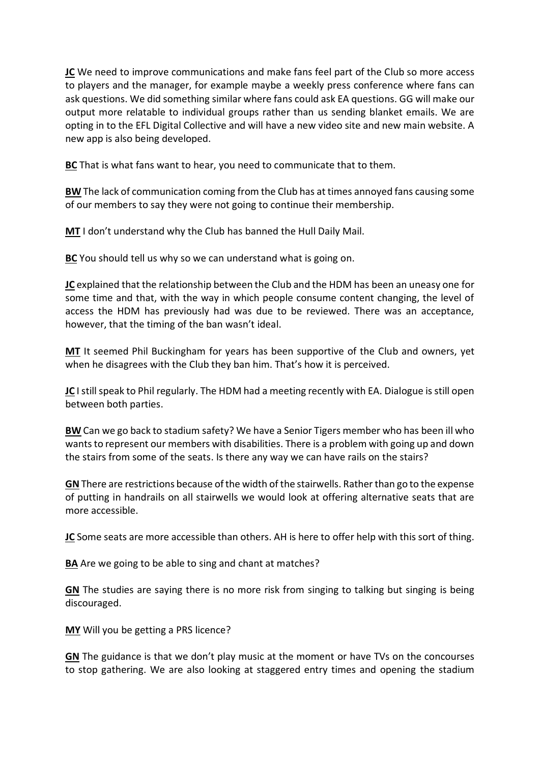**JC** We need to improve communications and make fans feel part of the Club so more access to players and the manager, for example maybe a weekly press conference where fans can ask questions. We did something similar where fans could ask EA questions. GG will make our output more relatable to individual groups rather than us sending blanket emails. We are opting in to the EFL Digital Collective and will have a new video site and new main website. A new app is also being developed.

**BC** That is what fans want to hear, you need to communicate that to them.

**BW** The lack of communication coming from the Club has at times annoyed fans causing some of our members to say they were not going to continue their membership.

**MT** I don't understand why the Club has banned the Hull Daily Mail.

**BC** You should tell us why so we can understand what is going on.

**JC** explained that the relationship between the Club and the HDM has been an uneasy one for some time and that, with the way in which people consume content changing, the level of access the HDM has previously had was due to be reviewed. There was an acceptance, however, that the timing of the ban wasn't ideal.

**MT** It seemed Phil Buckingham for years has been supportive of the Club and owners, yet when he disagrees with the Club they ban him. That's how it is perceived.

**JC** I still speak to Phil regularly. The HDM had a meeting recently with EA. Dialogue is still open between both parties.

**BW** Can we go back to stadium safety? We have a Senior Tigers member who has been ill who wants to represent our members with disabilities. There is a problem with going up and down the stairs from some of the seats. Is there any way we can have rails on the stairs?

**GN**There are restrictions because of the width of the stairwells. Rather than go to the expense of putting in handrails on all stairwells we would look at offering alternative seats that are more accessible.

**JC** Some seats are more accessible than others. AH is here to offer help with this sort of thing.

**BA** Are we going to be able to sing and chant at matches?

**GN** The studies are saying there is no more risk from singing to talking but singing is being discouraged.

**MY** Will you be getting a PRS licence?

**GN** The guidance is that we don't play music at the moment or have TVs on the concourses to stop gathering. We are also looking at staggered entry times and opening the stadium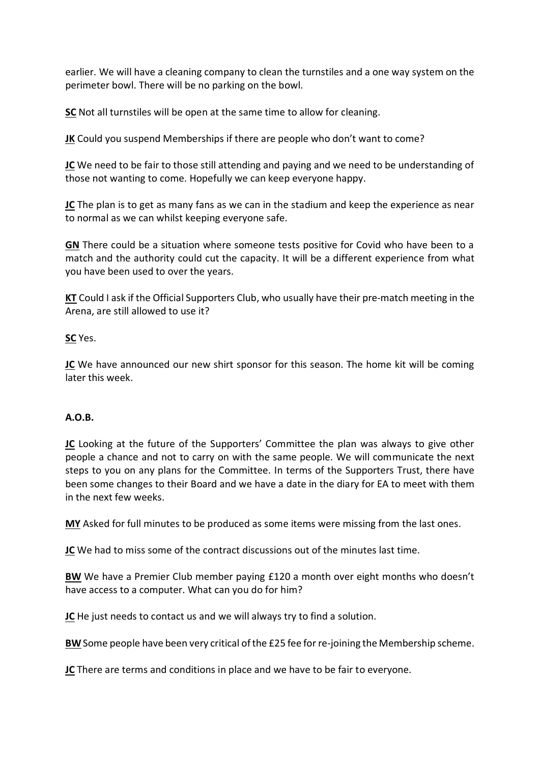earlier. We will have a cleaning company to clean the turnstiles and a one way system on the perimeter bowl. There will be no parking on the bowl.

**SC** Not all turnstiles will be open at the same time to allow for cleaning.

**JK** Could you suspend Memberships if there are people who don't want to come?

**JC** We need to be fair to those still attending and paying and we need to be understanding of those not wanting to come. Hopefully we can keep everyone happy.

**JC** The plan is to get as many fans as we can in the stadium and keep the experience as near to normal as we can whilst keeping everyone safe.

**GN** There could be a situation where someone tests positive for Covid who have been to a match and the authority could cut the capacity. It will be a different experience from what you have been used to over the years.

**KT** Could I ask if the Official Supporters Club, who usually have their pre-match meeting in the Arena, are still allowed to use it?

**SC** Yes.

**JC** We have announced our new shirt sponsor for this season. The home kit will be coming later this week.

## **A.O.B.**

**JC** Looking at the future of the Supporters' Committee the plan was always to give other people a chance and not to carry on with the same people. We will communicate the next steps to you on any plans for the Committee. In terms of the Supporters Trust, there have been some changes to their Board and we have a date in the diary for EA to meet with them in the next few weeks.

**MY** Asked for full minutes to be produced as some items were missing from the last ones.

**JC** We had to miss some of the contract discussions out of the minutes last time.

**BW** We have a Premier Club member paying £120 a month over eight months who doesn't have access to a computer. What can you do for him?

**JC** He just needs to contact us and we will always try to find a solution.

**BW** Some people have been very critical of the £25 fee for re-joining the Membership scheme.

**JC** There are terms and conditions in place and we have to be fair to everyone.